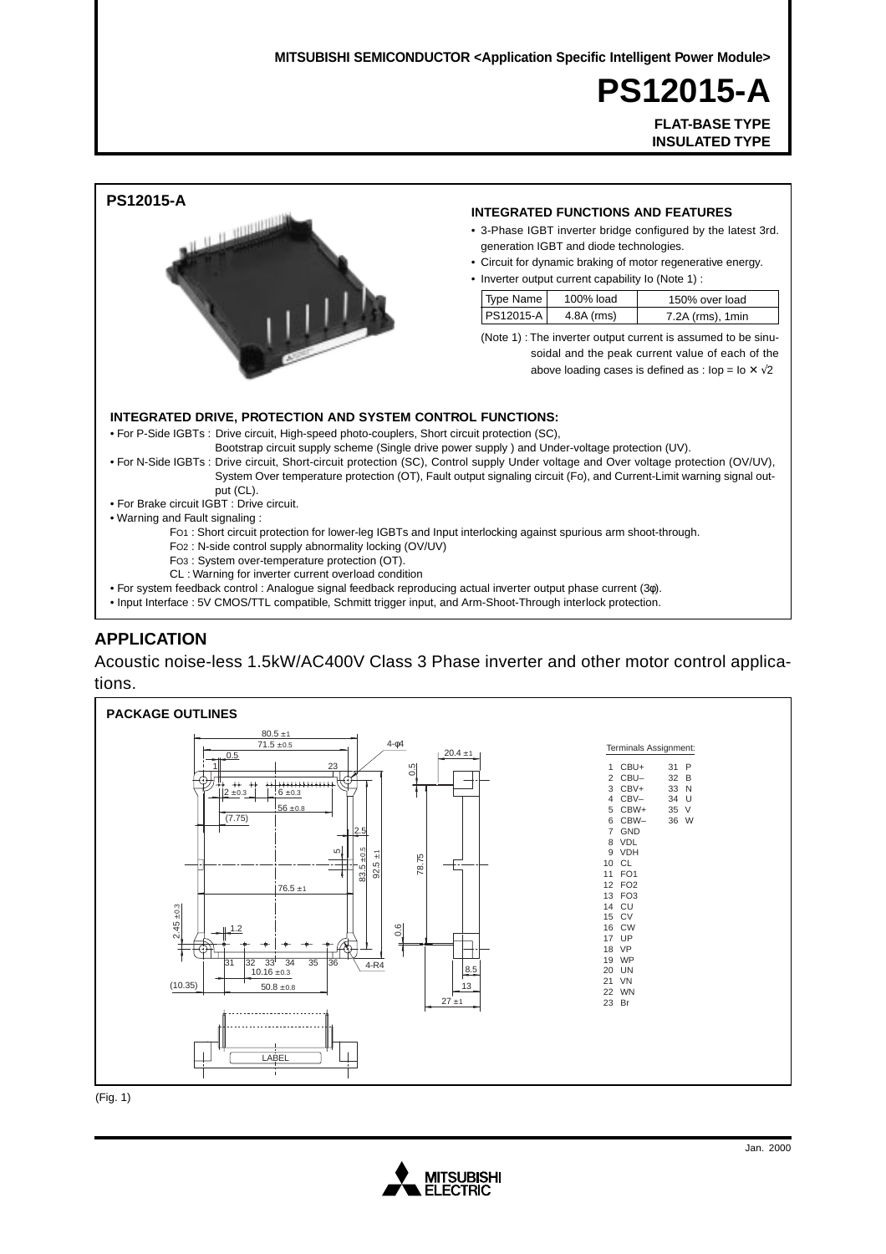**PS12015-A PS12015-A**

**FLAT-BASE TYPE FLAT-BASE TYPE INSULATED TYPE INSULATED TYPE**



### **APPLICATION**

Acoustic noise-less 1.5kW/AC400V Class 3 Phase inverter and other motor control applications.



(Fig. 1)

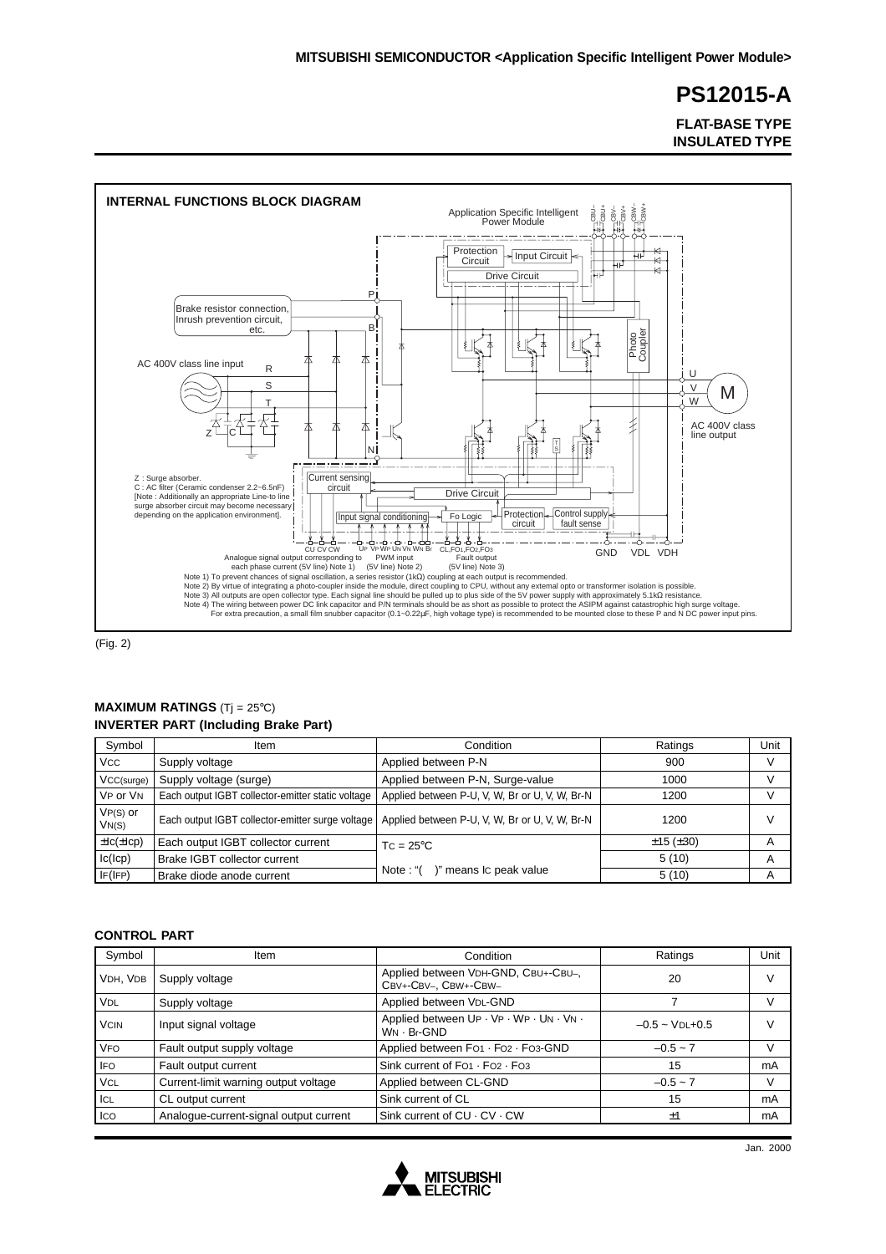**FLAT-BASE TYPE INSULATED TYPE**



(Fig. 2)

### **MAXIMUM RATINGS** (Tj = 25°C) **INVERTER PART (Including Brake Part)**

| Symbol               | Item                                              | Condition                                      | Ratings  | Unit   |
|----------------------|---------------------------------------------------|------------------------------------------------|----------|--------|
| <b>VCC</b>           | Supply voltage                                    | Applied between P-N                            | 900      | $\vee$ |
| VCC(surge)           | Supply voltage (surge)                            | Applied between P-N, Surge-value               | 1000     |        |
| VP or VN             | Each output IGBT collector-emitter static voltage | Applied between P-U, V, W, Br or U, V, W, Br-N | 1200     | v      |
| $VP(S)$ or<br>VN(S)  | Each output IGBT collector-emitter surge voltage  | Applied between P-U, V, W, Br or U, V, W, Br-N | 1200     | $\vee$ |
| $\pm$ Ic( $\pm$ Icp) | Each output IGBT collector current                | $TC = 25^{\circ}C$                             | ±15(±30) | A      |
| lc(lcp)              | Brake IGBT collector current                      |                                                | 5(10)    | A      |
| IF(IFP)              | Brake diode anode current                         | Note: "()" means Ic peak value                 | 5(10)    | A      |

### **CONTROL PART**

| Symbol                | Item                                   | Condition                                                   | Ratings             | Unit |
|-----------------------|----------------------------------------|-------------------------------------------------------------|---------------------|------|
| VDH, VDB              | Supply voltage                         | Applied between VDH-GND, CBU+-CBU-,<br>CBV+-CBV-, CBW+-CBW- | 20                  |      |
| <b>V<sub>DL</sub></b> | Supply voltage                         | Applied between VDL-GND                                     |                     |      |
| <b>VCIN</b>           | Input signal voltage                   | Applied between UP · VP · WP · UN · VN ·<br>$WN · Br-GND$   | $-0.5 \sim$ VDL+0.5 |      |
| <b>VFO</b>            | Fault output supply voltage            | Applied between FO1 · FO2 · FO3-GND                         | $-0.5 - 7$          |      |
| <b>IFO</b>            | Fault output current                   | Sink current of FO1 · FO2 · FO3                             | 15                  | mA   |
| <b>VCL</b>            | Current-limit warning output voltage   | Applied between CL-GND                                      | $-0.5 - 7$          |      |
| ICL                   | CL output current                      | Sink current of CL                                          | 15                  | mA   |
| Ico                   | Analogue-current-signal output current | Sink current of $CU \cdot CV \cdot CW$                      | ±1                  | mA   |

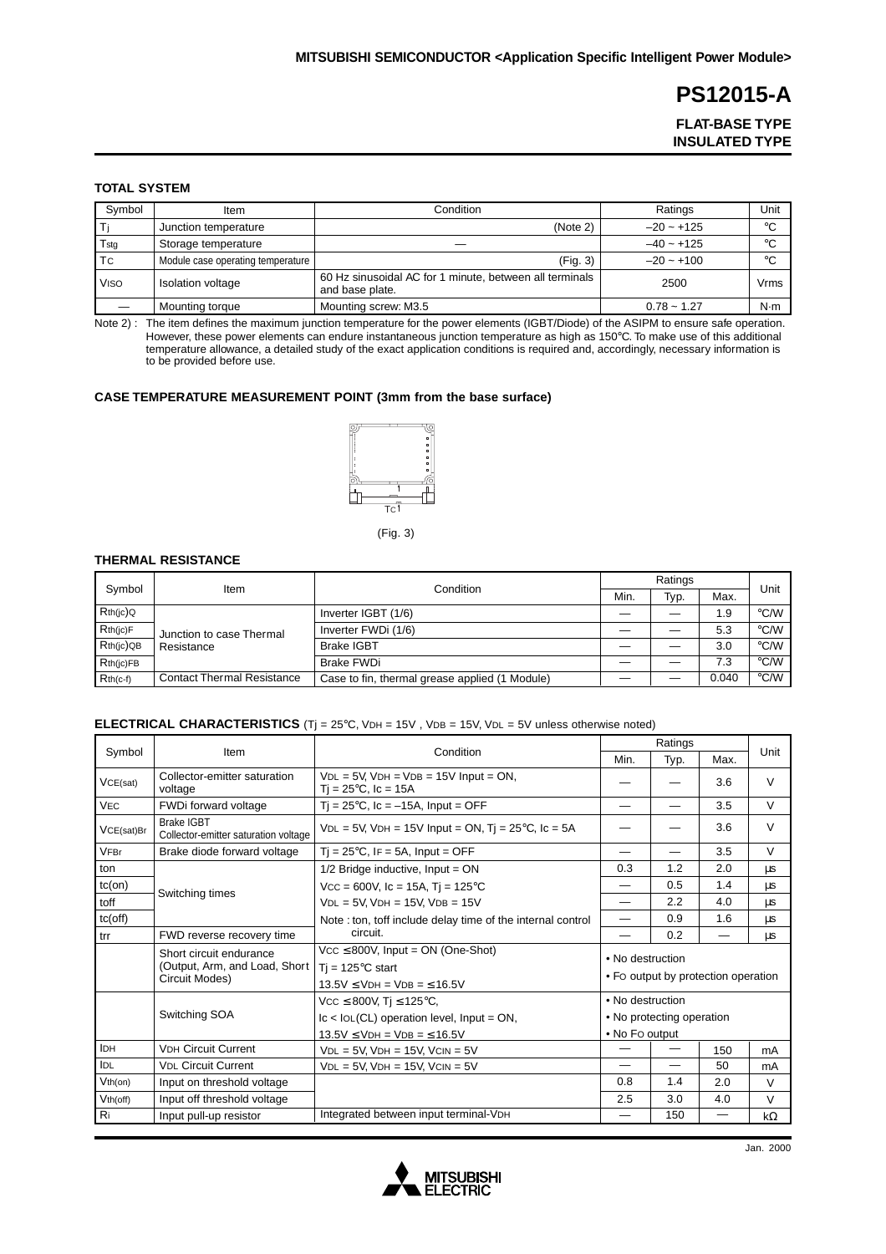**FLAT-BASE TYPE INSULATED TYPE**

### **TOTAL SYSTEM**

| Symbol         | Item                              | Condition                                                                  | Ratings       | Unit         |
|----------------|-----------------------------------|----------------------------------------------------------------------------|---------------|--------------|
|                | Junction temperature              | (Note 2)                                                                   | $-20 - +125$  | $^{\circ}C$  |
| Tstg           | Storage temperature               |                                                                            | $-40 - +125$  | $^{\circ}C$  |
| T <sub>C</sub> | Module case operating temperature | (Fig. 3)                                                                   | $-20 - +100$  | $^{\circ}$ C |
| <b>VISO</b>    | Isolation voltage                 | 60 Hz sinusoidal AC for 1 minute, between all terminals<br>and base plate. | 2500          | Vrms         |
|                | Mounting torque                   | Mounting screw: M3.5                                                       | $0.78 - 1.27$ | N·m          |

Note 2) : The item defines the maximum junction temperature for the power elements (IGBT/Diode) of the ASIPM to ensure safe operation. However, these power elements can endure instantaneous junction temperature as high as 150°C. To make use of this additional temperature allowance, a detailed study of the exact application conditions is required and, accordingly, necessary information is to be provided before use.

### **CASE TEMPERATURE MEASUREMENT POINT (3mm from the base surface)**



(Fig. 3)

### **THERMAL RESISTANCE**

| Symbol          |                                        | Condition                                      |      |      |       |                    |
|-----------------|----------------------------------------|------------------------------------------------|------|------|-------|--------------------|
|                 | Item                                   |                                                | Min. | Typ. | Max.  | Unit               |
| Rth(ic)Q        | Junction to case Thermal<br>Resistance | Inverter IGBT (1/6)                            |      |      | 1.9   | $\rm ^{\circ}$ C/W |
| $Rth$ (jc) $F$  |                                        | Inverter FWDi (1/6)                            |      |      | 5.3   | $\rm ^{\circ}$ C/W |
| $Rth(ic)$ QB    |                                        | <b>Brake IGBT</b>                              |      |      | 3.0   | °C/W               |
| $Rth$ ( $ c FB$ |                                        | Brake FWDi                                     |      |      | 7.3   | $\degree$ C/W      |
| $Rth(c-f)$      | <b>Contact Thermal Resistance</b>      | Case to fin, thermal grease applied (1 Module) |      |      | 0.040 | °C/W               |

### **ELECTRICAL CHARACTERISTICS** (Tj = 25°C, VDH = 15V , VDB = 15V, VDL = 5V unless otherwise noted)

|               |                                                                            |                                                                                                            |                                                         | Ratings |                          | Unit   |  |
|---------------|----------------------------------------------------------------------------|------------------------------------------------------------------------------------------------------------|---------------------------------------------------------|---------|--------------------------|--------|--|
| Symbol        | Item                                                                       | Condition                                                                                                  | Min.                                                    | Typ.    | Max.                     |        |  |
| VCE(sat)      | Collector-emitter saturation<br>voltage                                    | $VDL = 5V$ , $VDH = VDB = 15V$ Input = ON,<br>$Tj = 25^{\circ}C$ , $lc = 15A$                              |                                                         |         | 3.6                      | $\vee$ |  |
| <b>VEC</b>    | FWDi forward voltage                                                       | $Ti = 25^{\circ}C$ , Ic = -15A, Input = OFF                                                                |                                                         |         | 3.5                      | $\vee$ |  |
| VCE(sat)Br    | <b>Brake IGBT</b><br>Collector-emitter saturation voltage                  | $VDL = 5V$ , $VDH = 15V$ Input = ON, Tj = 25°C, Ic = 5A                                                    |                                                         |         | 3.6                      | $\vee$ |  |
| <b>VFBr</b>   | Brake diode forward voltage<br>$T_i = 25^{\circ}C$ , IF = 5A, Input = OFF  |                                                                                                            |                                                         |         | 3.5                      | $\vee$ |  |
| ton           |                                                                            | $1/2$ Bridge inductive, Input = ON                                                                         | 0.3                                                     | 1.2     | 2.0                      | μs     |  |
| $tc($ on $)$  | Switching times                                                            | $Vcc = 600V$ , Ic = 15A, Tj = 125°C                                                                        |                                                         | 0.5     | 1.4                      | μs     |  |
| toff          |                                                                            | $VDL = 5V$ , $VDH = 15V$ , $VDB = 15V$                                                                     |                                                         | 2.2     | 4.0                      | μs     |  |
| $tc($ off $)$ |                                                                            | Note: ton, toff include delay time of the internal control                                                 |                                                         | 0.9     | 1.6                      | μs     |  |
| trr           | FWD reverse recovery time                                                  | circuit.                                                                                                   |                                                         | 0.2     | $\overline{\phantom{0}}$ | μs     |  |
|               | Short circuit endurance<br>(Output, Arm, and Load, Short<br>Circuit Modes) | $Vcc \le 800V$ , Input = ON (One-Shot)<br>$Ti = 125^{\circ}C$ start<br>$13.5V \leq VDH = VDB = \leq 16.5V$ | • No destruction<br>• Fo output by protection operation |         |                          |        |  |
|               |                                                                            | Vcc ≤ 800V, Tj ≤ 125°C,                                                                                    | • No destruction                                        |         |                          |        |  |
|               | Switching SOA                                                              | $lc$ < $IoL(CL)$ operation level, $Input = ON$ ,                                                           | • No protecting operation                               |         |                          |        |  |
|               |                                                                            | $13.5V \leq VDH = VDB = \leq 16.5V$                                                                        | • No Fo output                                          |         |                          |        |  |
| <b>IDH</b>    | <b>VDH Circuit Current</b>                                                 | $VDL = 5V$ , $VDH = 15V$ , $VCIN = 5V$                                                                     |                                                         |         | 150                      | mA     |  |
| <b>IDL</b>    | <b>VDL Circuit Current</b><br>$VDL = 5V$ , $VDH = 15V$ , $VCIN = 5V$       |                                                                                                            |                                                         |         | 50                       | mA     |  |
| $Vth($ on)    | Input on threshold voltage                                                 |                                                                                                            |                                                         | 1.4     | 2.0                      | $\vee$ |  |
| $Vth$ (off)   | Input off threshold voltage                                                |                                                                                                            | 2.5                                                     | 3.0     | 4.0                      | $\vee$ |  |
| Ri            | Input pull-up resistor                                                     | Integrated between input terminal-VDH                                                                      |                                                         | 150     |                          | kΩ     |  |

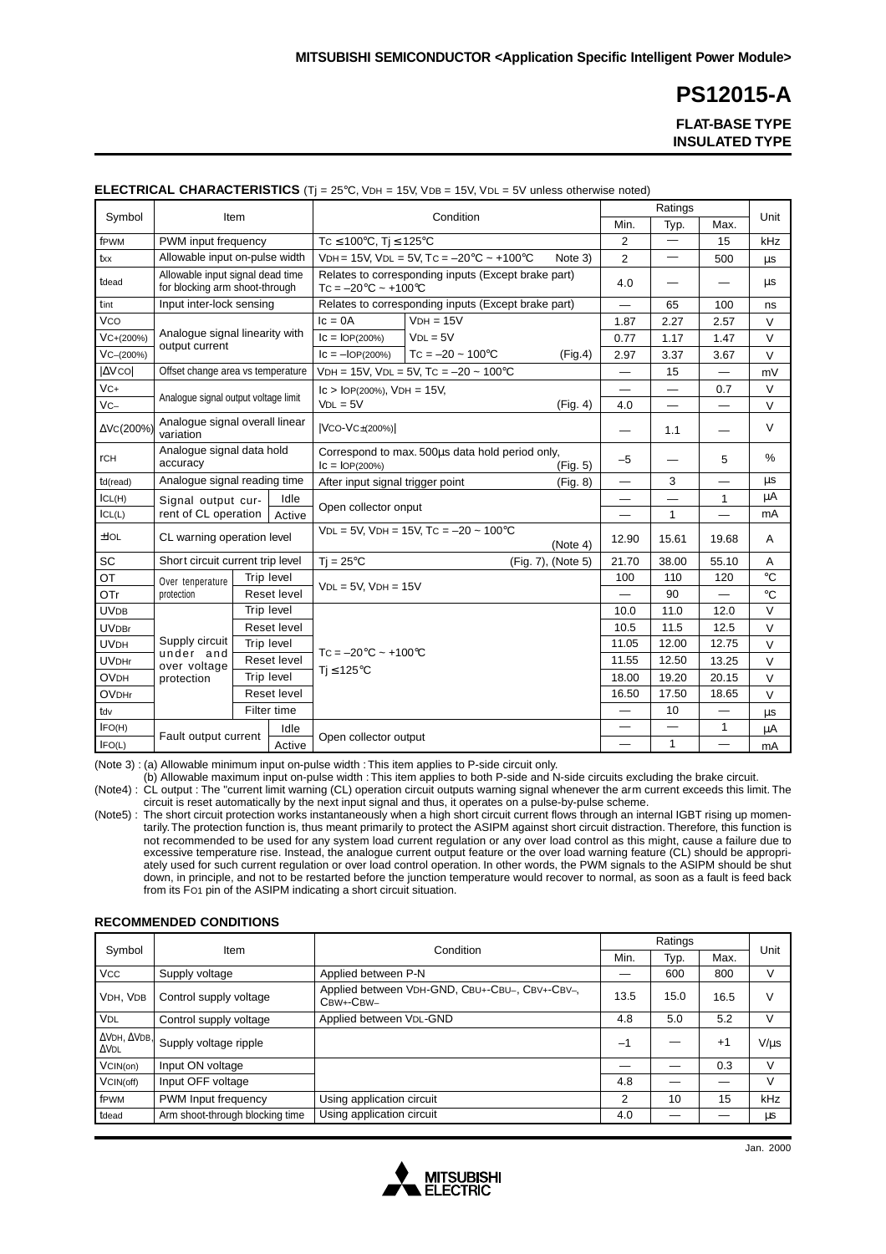**FLAT-BASE TYPE INSULATED TYPE**

|              | $\cdots$                                                                                           |      |                                  |                                                               | Ratings                                                 |                    |              |                          |                          |              |
|--------------|----------------------------------------------------------------------------------------------------|------|----------------------------------|---------------------------------------------------------------|---------------------------------------------------------|--------------------|--------------|--------------------------|--------------------------|--------------|
| Symbol       |                                                                                                    | Item |                                  |                                                               | Condition                                               |                    | Min.         | Typ.                     | Max.                     | Unit         |
| fPWM         | PWM input frequency                                                                                |      |                                  |                                                               | TC $\leq 100^{\circ}$ C, Tj $\leq 125^{\circ}$ C        |                    |              | $\overline{\phantom{0}}$ | 15                       | kHz          |
| txx          | Allowable input on-pulse width                                                                     |      |                                  | VDH = 15V, VDL = 5V, TC = $-20^{\circ}$ C ~ +100 $^{\circ}$ C | Note 3)                                                 | $\overline{2}$     |              | 500                      | $\mu s$                  |              |
| tdead        | Allowable input signal dead time<br>for blocking arm shoot-through                                 |      |                                  | $TC = -20°C \sim +100°C$                                      | Relates to corresponding inputs (Except brake part)     |                    | 4.0          |                          |                          | μs           |
| tint         | Input inter-lock sensing                                                                           |      |                                  |                                                               | Relates to corresponding inputs (Except brake part)     |                    |              | 65                       | 100                      | ns           |
| Vco          |                                                                                                    |      |                                  | $lc = 0A$                                                     | $VDH = 15V$                                             |                    | 1.87         | 2.27                     | 2.57                     | $\vee$       |
| VC+(200%)    | Analogue signal linearity with                                                                     |      |                                  | $ c =  OP(200\%) $                                            | $VDL = 5V$                                              |                    | 0.77         | 1.17                     | 1.47                     | $\vee$       |
| VC-(200%)    | output current                                                                                     |      |                                  | $ c = -IOP(200%)$                                             | $TC = -20 \sim 100^{\circ}C$                            | (Fig.4)            | 2.97         | 3.37                     | 3.67                     | $\vee$       |
| <b>AVCO</b>  | Offset change area vs temperature                                                                  |      |                                  |                                                               | $VDH = 15V$ , $VDL = 5V$ , $TC = -20 \sim 100^{\circ}C$ |                    |              | 15                       |                          | mV           |
| $VC+$        |                                                                                                    |      |                                  | $lc > IOP(200%), VDH = 15V,$                                  |                                                         |                    |              |                          | 0.7                      | $\vee$       |
| $VC-$        | Analogue signal output voltage limit                                                               |      |                                  | $VDL = 5V$                                                    |                                                         | (Fig. 4)           | 4.0          | —                        | —                        | $\vee$       |
| ΔVc(200%)    | Analogue signal overall linear<br>variation                                                        |      |                                  | $ VCO-VC\pm(200%) $                                           |                                                         |                    |              | 1.1                      | $\overline{\phantom{0}}$ | $\vee$       |
| <b>rCH</b>   | Analogue signal data hold<br>accuracy                                                              |      | $ c =  OP(200\%)$                | Correspond to max. 500us data hold period only,               | (Fig. 5)                                                | $-5$               |              | 5                        | $\%$                     |              |
| td(read)     | Analogue signal reading time                                                                       |      | After input signal trigger point |                                                               | (Fig. 8)                                                |                    | 3            | $\overline{\phantom{0}}$ | $\mu s$                  |              |
| ICL(H)       | Idle<br>Signal output cur-                                                                         |      |                                  |                                                               |                                                         |                    |              | 1                        | μA                       |              |
| ICL(L)       | rent of CL operation<br>Active                                                                     |      | Open collector onput             |                                                               |                                                         |                    | $\mathbf{1}$ |                          | mA                       |              |
| ±IOL         | CL warning operation level                                                                         |      |                                  |                                                               | $VDL = 5V$ . $VDH = 15V$ . TC = -20 ~ 100°C             | (Note 4)           | 12.90        | 15.61                    | 19.68                    | Α            |
| <b>SC</b>    | Short circuit current trip level                                                                   |      |                                  | $Ti = 25^{\circ}C$                                            |                                                         | (Fig. 7), (Note 5) | 21.70        | 38.00                    | 55.10                    | A            |
| OT           | Over tenperature                                                                                   |      | Trip level                       |                                                               |                                                         |                    | 100          | 110                      | 120                      | $^{\circ}$ C |
| OTr          | protection                                                                                         |      | Reset level                      |                                                               | $VDL = 5V$ , $VDH = 15V$                                |                    |              | 90                       |                          | $^{\circ}C$  |
| <b>UVDB</b>  |                                                                                                    |      | Trip level                       |                                                               |                                                         |                    | 10.0         | 11.0                     | 12.0                     | $\vee$       |
| <b>UVDBr</b> |                                                                                                    |      | Reset level                      |                                                               |                                                         |                    | 10.5         | 11.5                     | 12.5                     | $\vee$       |
| <b>UVDH</b>  | Supply circuit                                                                                     |      | Trip level                       |                                                               |                                                         |                    | 11.05        | 12.00                    | 12.75                    | $\vee$       |
| <b>UVDHr</b> | under and<br>Reset level<br>over voltage<br>Trip level<br>protection<br>Reset level<br>Filter time |      |                                  | $TC = -20°C \sim +100°C$<br>$Ti \leq 125^{\circ}C$            |                                                         | 11.55              | 12.50        | 13.25                    | $\vee$                   |              |
| <b>OVDH</b>  |                                                                                                    |      |                                  |                                                               |                                                         | 18.00              | 19.20        | 20.15                    | $\vee$                   |              |
| <b>OVDHr</b> |                                                                                                    |      |                                  |                                                               |                                                         | 16.50              | 17.50        | 18.65                    | $\vee$                   |              |
| tdv          |                                                                                                    |      |                                  |                                                               |                                                         |                    | 10           |                          | μs                       |              |
| IFO(H)       |                                                                                                    |      | Idle                             |                                                               |                                                         |                    |              |                          | 1                        | μA           |
| IFO(L)       | Fault output current                                                                               |      | Active                           | Open collector output                                         |                                                         |                    |              | $\mathbf{1}$             | $\overline{\phantom{0}}$ | mA           |

### **ELECTRICAL CHARACTERISTICS** (Ti = 25°C, VDH = 15V, VDB = 15V, VDL = 5V unless otherwise noted)

(Note 3) : (a) Allowable minimum input on-pulse width : This item applies to P-side circuit only.

(b) Allowable maximum input on-pulse width : This item applies to both P-side and N-side circuits excluding the brake circuit.

(Note4) : CL output : The "current limit warning (CL) operation circuit outputs warning signal whenever the arm current exceeds this limit. The circuit is reset automatically by the next input signal and thus, it operates on a pulse-by-pulse scheme.

(Note5) : The short circuit protection works instantaneously when a high short circuit current flows through an internal IGBT rising up momentarily. The protection function is, thus meant primarily to protect the ASIPM against short circuit distraction. Therefore, this function is not recommended to be used for any system load current regulation or any over load control as this might, cause a failure due to excessive temperature rise. Instead, the analogue current output feature or the over load warning feature (CL) should be appropriately used for such current regulation or over load control operation. In other words, the PWM signals to the ASIPM should be shut down, in principle, and not to be restarted before the junction temperature would recover to normal, as soon as a fault is feed back from its FO1 pin of the ASIPM indicating a short circuit situation.

### **RECOMMENDED CONDITIONS**

|                                             |                                                              | Condition                                                   | Ratings |      |      | Unit      |  |
|---------------------------------------------|--------------------------------------------------------------|-------------------------------------------------------------|---------|------|------|-----------|--|
| Symbol                                      | Item                                                         |                                                             | Min.    | Typ. | Max. |           |  |
| <b>VCC</b>                                  | Supply voltage                                               | Applied between P-N                                         |         | 600  | 800  | V         |  |
| VDH, VDB                                    | Control supply voltage                                       | Applied between VDH-GND, CBU+-CBU-, CBV+-CBV-,<br>CBW+-CBW- |         | 15.0 | 16.5 | v         |  |
| <b>VDL</b>                                  | Control supply voltage                                       | Applied between VDL-GND                                     |         | 5.0  | 5.2  | V         |  |
| $\Delta$ VDH, $\Delta$ VDB,<br>$\Delta$ VDL | Supply voltage ripple                                        |                                                             | $-1$    |      | $+1$ | $V/\mu s$ |  |
| VCIN(0n)                                    | Input ON voltage                                             |                                                             |         |      | 0.3  | V         |  |
| VCIN(off)                                   | Input OFF voltage                                            |                                                             | 4.8     |      |      |           |  |
| fPWM                                        | PWM Input frequency                                          | Using application circuit                                   |         | 10   | 15   | kHz       |  |
| tdead                                       | Using application circuit<br>Arm shoot-through blocking time |                                                             | 4.0     |      |      | μs        |  |

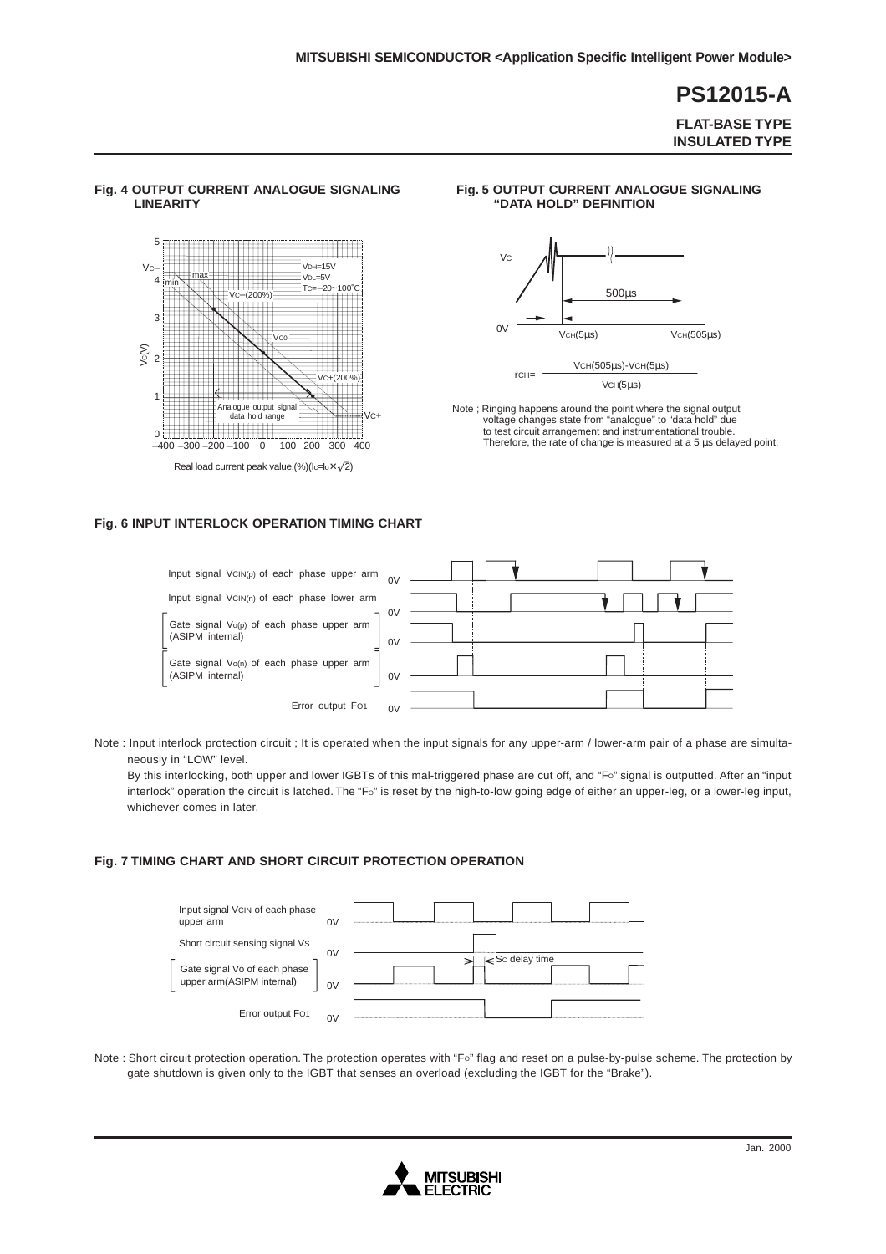**FLAT-BASE TYPE INSULATED TYPE**

### **Fig. 4 OUTPUT CURRENT ANALOGUE SIGNALING LINEARITY**



### **Fig. 5 OUTPUT CURRENT ANALOGUE SIGNALING "DATA HOLD" DEFINITION**



Note ; Ringing happens around the point where the signal output voltage changes state from "analogue" to "data hold" due to test circuit arrangement and instrumentational trouble. Therefore, the rate of change is measured at a 5 µs delayed point.<br>Therefore, the rate of change is measured at a 5 µs delayed point.<br>Therefore, the rate of change is measured at a 5 µs delayed point.

### **Fig. 6 INPUT INTERLOCK OPERATION TIMING CHART**



Note : Input interlock protection circuit ; It is operated when the input signals for any upper-arm / lower-arm pair of a phase are simultaneously in "LOW" level.

By this interlocking, both upper and lower IGBTs of this mal-triggered phase are cut off, and "FO" signal is outputted. After an "input interlock" operation the circuit is latched. The "Fo" is reset by the high-to-low going edge of either an upper-leg, or a lower-leg input, whichever comes in later.

### **Fig. 7 TIMING CHART AND SHORT CIRCUIT PROTECTION OPERATION**



Note : Short circuit protection operation. The protection operates with "FO" flag and reset on a pulse-by-pulse scheme. The protection by gate shutdown is given only to the IGBT that senses an overload (excluding the IGBT for the "Brake").